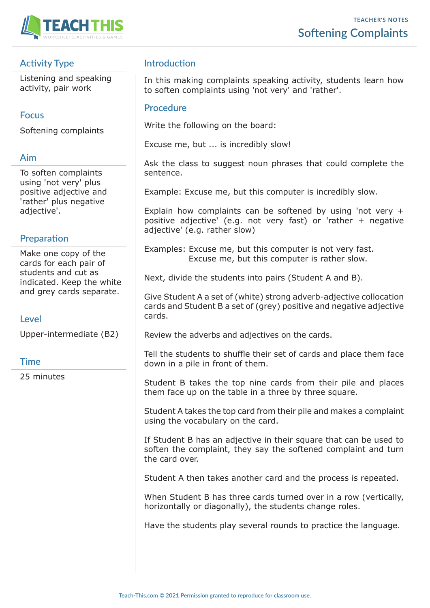

## **Activity Type**

Listening and speaking activity, pair work

### **Focus**

Softening complaints

# **Aim**

To soften complaints using 'not very' plus positive adjective and 'rather' plus negative adjective'.

# **Preparation**

Make one copy of the cards for each pair of students and cut as indicated. Keep the white and grey cards separate.

#### **Level**

Upper-intermediate (B2)

## **Time**

25 minutes

# **Introduction**

In this making complaints speaking activity, students learn how to soften complaints using 'not very' and 'rather'.

### **Procedure**

Write the following on the board:

Excuse me, but ... is incredibly slow!

Ask the class to suggest noun phrases that could complete the sentence.

Example: Excuse me, but this computer is incredibly slow.

Explain how complaints can be softened by using 'not very + positive adjective' (e.g. not very fast) or 'rather + negative adjective' (e.g. rather slow)

Examples: Excuse me, but this computer is not very fast. Excuse me, but this computer is rather slow.

Next, divide the students into pairs (Student A and B).

Give Student A a set of (white) strong adverb-adjective collocation cards and Student B a set of (grey) positive and negative adjective cards.

Review the adverbs and adjectives on the cards.

Tell the students to shuffle their set of cards and place them face down in a pile in front of them.

Student B takes the top nine cards from their pile and places them face up on the table in a three by three square.

Student A takes the top card from their pile and makes a complaint using the vocabulary on the card.

If Student B has an adjective in their square that can be used to soften the complaint, they say the softened complaint and turn the card over.

Student A then takes another card and the process is repeated.

When Student B has three cards turned over in a row (vertically, horizontally or diagonally), the students change roles.

Have the students play several rounds to practice the language.